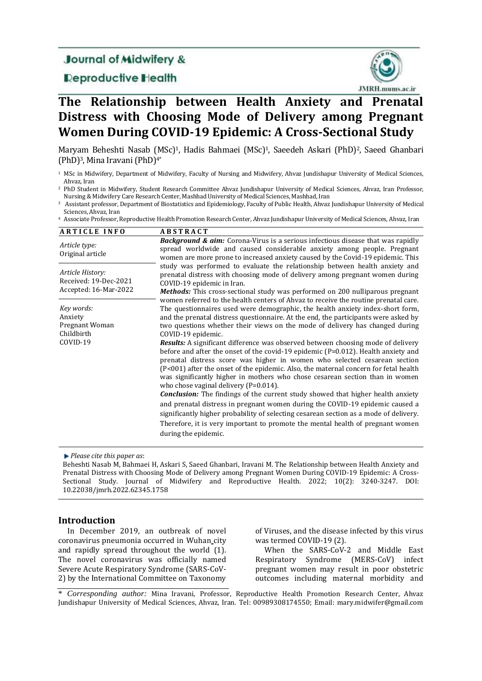# **Journal of Midwifery &**

**Deproductive Health** 



# **The Relationship between Health Anxiety and Prenatal Distress with Choosing Mode of Delivery among Pregnant Women During COVID-19 Epidemic: A Cross-Sectional Study**

Maryam Beheshti Nasab (MSc)1, Hadis Bahmaei (MSc)1, Saeedeh Askari (PhD)2, Saeed Ghanbari (PhD)3, Mina Iravani(PhD)4\*

- <sup>1</sup> MSc in Midwifery, Department of Midwifery, Faculty of Nursing and Midwifery, Ahvaz Jundishapur University of Medical Sciences, Ahvaz, Iran
- <sup>2</sup> PhD Student in Midwifery, Student Research Committee Ahvaz Jundishapur University of Medical Sciences, Ahvaz, Iran Professor, Nursing & Midwifery Care Research Center, Mashhad University of Medical Sciences, Mashhad, Iran

<sup>3</sup> Assistant professor, Department of Biostatistics and Epidemiology, Faculty of Public Health, Ahvaz Jundishapur University of Medical Sciences, Ahvaz, Iran

<sup>4</sup> Associate Professor, Reproductive Health Promotion Research Center, Ahvaz Jundishapur University of Medical Sciences, Ahvaz, Iran

| <b>ARTICLE INFO</b>                                                | <b>ABSTRACT</b>                                                                                                                                                                                                                                                                                                                                                                                                                                                                                                                                                                                                                                                                                                                                                                                                                                                                                                                                                                                                                                                                                                                                                                                                                      |  |
|--------------------------------------------------------------------|--------------------------------------------------------------------------------------------------------------------------------------------------------------------------------------------------------------------------------------------------------------------------------------------------------------------------------------------------------------------------------------------------------------------------------------------------------------------------------------------------------------------------------------------------------------------------------------------------------------------------------------------------------------------------------------------------------------------------------------------------------------------------------------------------------------------------------------------------------------------------------------------------------------------------------------------------------------------------------------------------------------------------------------------------------------------------------------------------------------------------------------------------------------------------------------------------------------------------------------|--|
| Article type:<br>Original article                                  | <b>Background &amp; aim:</b> Corona-Virus is a serious infectious disease that was rapidly<br>spread worldwide and caused considerable anxiety among people. Pregnant<br>women are more prone to increased anxiety caused by the Covid-19 epidemic. This                                                                                                                                                                                                                                                                                                                                                                                                                                                                                                                                                                                                                                                                                                                                                                                                                                                                                                                                                                             |  |
| Article History:<br>Received: 19-Dec-2021<br>Accepted: 16-Mar-2022 | study was performed to evaluate the relationship between health anxiety and<br>prenatal distress with choosing mode of delivery among pregnant women during<br>COVID-19 epidemic in Iran.<br><b>Methods:</b> This cross-sectional study was performed on 200 nulliparous pregnant                                                                                                                                                                                                                                                                                                                                                                                                                                                                                                                                                                                                                                                                                                                                                                                                                                                                                                                                                    |  |
| Key words:<br>Anxiety<br>Pregnant Woman<br>Childbirth<br>COVID-19  | women referred to the health centers of Ahyaz to receive the routine prenatal care.<br>The questionnaires used were demographic, the health anxiety index-short form,<br>and the prenatal distress questionnaire. At the end, the participants were asked by<br>two questions whether their views on the mode of delivery has changed during<br>COVID-19 epidemic.<br><b>Results:</b> A significant difference was observed between choosing mode of delivery<br>before and after the onset of the covid-19 epidemic $(P=0.012)$ . Health anxiety and<br>prenatal distress score was higher in women who selected cesarean section<br>(P<001) after the onset of the epidemic. Also, the maternal concern for fetal health<br>was significantly higher in mothers who chose cesarean section than in women<br>who chose vaginal delivery $(P=0.014)$ .<br><b>Conclusion:</b> The findings of the current study showed that higher health anxiety<br>and prenatal distress in pregnant women during the COVID-19 epidemic caused a<br>significantly higher probability of selecting cesarean section as a mode of delivery.<br>Therefore, it is very important to promote the mental health of pregnant women<br>during the epidemic. |  |

## *Please cite this paper as*:

Beheshti Nasab M, Bahmaei H, Askari S, Saeed Ghanbari, Iravani M. The Relationship between Health Anxiety and Prenatal Distress with Choosing Mode of Delivery among Pregnant Women During COVID-19 Epidemic: A Cross-Sectional Study. Journal of Midwifery and Reproductive Health. 2022; 10(2): 3240-3247. DOI: 10.22038/jmrh.2022.62345.1758

# **Introduction**

In December 2019, an outbreak of novel coronavirus pneumonia occurred in Wuhan city and rapidly spread throughout the world (1). The novel coronavirus was officially named Severe Acute Respiratory Syndrome (SARS-CoV-2) by the International Committee on Taxonomy of Viruses, and the disease infected by this virus was termed COVID-19 (2).

When the SARS-CoV-2 and Middle East Respiratory Syndrome (MERS-CoV) infect pregnant women may result in poor obstetric outcomes including maternal morbidity and

\* *Corresponding author:* Mina Iravani, Professor, Reproductive Health Promotion Research Center, Ahvaz Jundishapur University of Medical Sciences, Ahvaz, Iran. Tel: 00989308174550; Email: mary.midwifer@gmail.com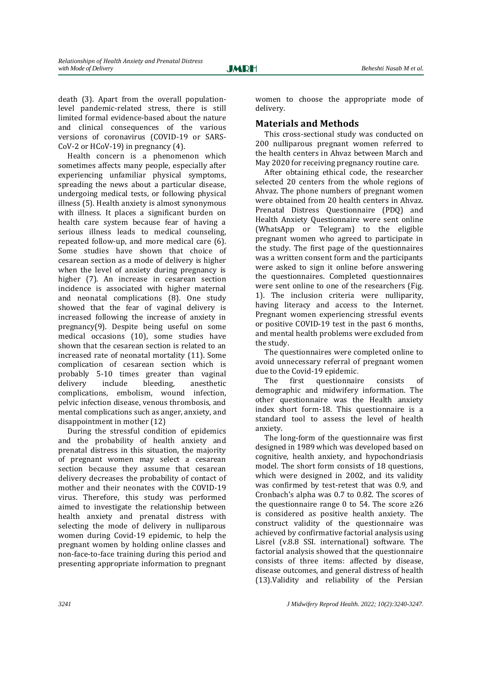death (3). Apart from the overall populationlevel pandemic-related stress, there is still limited formal evidence-based about the nature and clinical consequences of the various versions of coronavirus (COVID-19 or SARS-CoV-2 or HCoV-19) in pregnancy (4).

Health concern is a phenomenon which sometimes affects many people, especially after experiencing unfamiliar physical symptoms, spreading the news about a particular disease, undergoing medical tests, or following physical illness (5). Health anxiety is almost synonymous with illness. It places a significant burden on health care system because fear of having a serious illness leads to medical counseling, repeated follow-up, and more medical care (6). Some studies have shown that choice of cesarean section as a mode of delivery is higher when the level of anxiety during pregnancy is higher (7). An increase in cesarean section incidence is associated with higher maternal and neonatal complications (8). One study showed that the fear of vaginal delivery is increased following the increase of anxiety in pregnancy(9). Despite being useful on some medical occasions (10), some studies have shown that the cesarean section is related to an increased rate of neonatal mortality (11). Some complication of cesarean section which is probably 5-10 times greater than vaginal delivery include bleeding, anesthetic complications, embolism, wound infection, pelvic infection disease, venous thrombosis, and mental complications such as anger, anxiety, and disappointment in mother (12)

During the stressful condition of epidemics and the probability of health anxiety and prenatal distress in this situation, the majority of pregnant women may select a cesarean section because they assume that cesarean delivery decreases the probability of contact of mother and their neonates with the COVID-19 virus. Therefore, this study was performed aimed to investigate the relationship between health anxiety and prenatal distress with selecting the mode of delivery in nulliparous women during Covid-19 epidemic, to help the pregnant women by holding online classes and non-face-to-face training during this period and presenting appropriate information to pregnant

women to choose the appropriate mode of delivery.

# **Materials and Methods**

This cross-sectional study was conducted on 200 nulliparous pregnant women referred to the health centers in Ahvaz between March and May 2020 for receiving pregnancy routine care.

After obtaining ethical code, the researcher selected 20 centers from the whole regions of Ahvaz. The phone numbers of pregnant women were obtained from 20 health centers in Ahvaz. Prenatal Distress Questionnaire (PDQ) and Health Anxiety Questionnaire were sent online (WhatsApp or Telegram) to the eligible pregnant women who agreed to participate in the study. The first page of the questionnaires was a written consent form and the participants were asked to sign it online before answering the questionnaires. Completed questionnaires were sent online to one of the researchers (Fig. 1). The inclusion criteria were nulliparity, having literacy and access to the Internet. Pregnant women experiencing stressful events or positive COVID-19 test in the past 6 months, and mental health problems were excluded from the study.

The questionnaires were completed online to avoid unnecessary referral of pregnant women due to the Covid-19 epidemic.

The first questionnaire consists of demographic and midwifery information. The other questionnaire was the Health anxiety index short form-18. This questionnaire is a standard tool to assess the level of health anxiety.

The long-form of the questionnaire was first designed in 1989 which was developed based on cognitive, health anxiety, and hypochondriasis model. The short form consists of 18 questions, which were designed in 2002, and its validity was confirmed by test-retest that was 0.9, and Cronbach's alpha was 0.7 to 0.82. The scores of the questionnaire range 0 to 54. The score  $\geq 26$ is considered as positive health anxiety. The construct validity of the questionnaire was achieved by confirmative factorial analysis using Lisrel (v.8.8 SSI. international) software. The factorial analysis showed that the questionnaire consists of three items: affected by disease, disease outcomes, and general distress of health (13).Validity and reliability of the Persian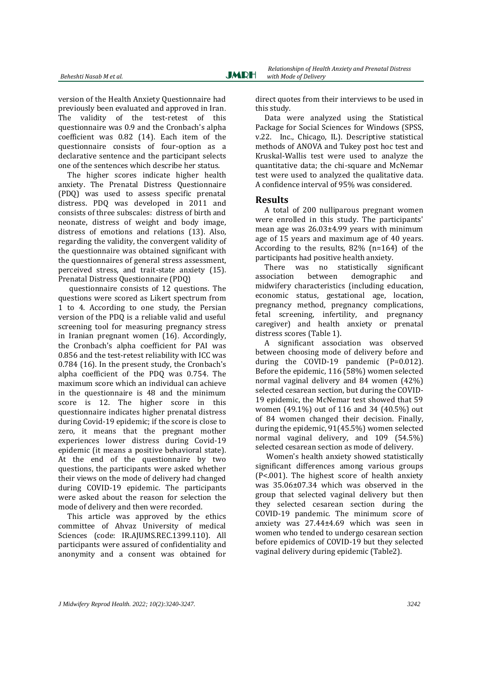version of the Health Anxiety Questionnaire had previously been evaluated and approved in Iran. The validity of the test-retest of this questionnaire was 0.9 and the Cronbach's alpha coefficient was 0.82 (14). Each item of the questionnaire consists of four-option as a declarative sentence and the participant selects one of the sentences which describe her status.

The higher scores indicate higher health anxiety. The Prenatal Distress Questionnaire (PDQ) was used to assess specific prenatal distress. PDQ was developed in 2011 and consists of three subscales: distress of birth and neonate, distress of weight and body image, distress of emotions and relations (13). Also, regarding the validity, the convergent validity of the questionnaire was obtained significant with the questionnaires of general stress assessment, perceived stress, and trait-state anxiety (15). Prenatal Distress Questionnaire (PDQ)

questionnaire consists of 12 questions. The questions were scored as Likert spectrum from 1 to 4. According to one study, the Persian version of the PDQ is a reliable valid and useful screening tool for measuring pregnancy stress in Iranian pregnant women (16). Accordingly, the Cronbach's alpha coefficient for PAI was 0.856 and the test-retest reliability with ICC was 0.784 (16). In the present study, the Cronbach's alpha coefficient of the PDQ was 0.754. The maximum score which an individual can achieve in the questionnaire is 48 and the minimum score is 12. The higher score in this questionnaire indicates higher prenatal distress during Covid-19 epidemic; if the score is close to zero, it means that the pregnant mother experiences lower distress during Covid-19 epidemic (it means a positive behavioral state). At the end of the questionnaire by two questions, the participants were asked whether their views on the mode of delivery had changed during COVID-19 epidemic. The participants were asked about the reason for selection the mode of delivery and then were recorded.

This article was approved by the ethics committee of Ahvaz University of medical Sciences (code: IR.AJUMS.REC.1399.110). All participants were assured of confidentiality and anonymity and a consent was obtained for

direct quotes from their interviews to be used in this study.

Data were analyzed using the Statistical Package for Social Sciences for Windows (SPSS, v.22. Inc., Chicago, IL). Descriptive statistical methods of ANOVA and Tukey post hoc test and Kruskal-Wallis test were used to analyze the quantitative data; the chi-square and McNemar test were used to analyzed the qualitative data. A confidence interval of 95% was considered.

# **Results**

A total of 200 nulliparous pregnant women were enrolled in this study. The participants' mean age was 26.03±4.99 years with minimum age of 15 years and maximum age of 40 years. According to the results, 82% (n=164) of the participants had positive health anxiety.

There was no statistically significant association between demographic and midwifery characteristics (including education, economic status, gestational age, location, pregnancy method, pregnancy complications, fetal screening, infertility, and pregnancy caregiver) and health anxiety or prenatal distress scores (Table 1).

A significant association was observed between choosing mode of delivery before and during the COVID-19 pandemic (P=0.012). Before the epidemic, 116 (58%) women selected normal vaginal delivery and 84 women (42%) selected cesarean section, but during the COVID-19 epidemic, the McNemar test showed that 59 women (49.1%) out of 116 and 34 (40.5%) out of 84 women changed their decision. Finally, during the epidemic, 91(45.5%) women selected normal vaginal delivery, and 109 (54.5%) selected cesarean section as mode of delivery.

Women's health anxiety showed statistically significant differences among various groups (P<.001). The highest score of health anxiety was 35.06±07.34 which was observed in the group that selected vaginal delivery but then they selected cesarean section during the COVID-19 pandemic. The minimum score of anxiety was 27.44±4.69 which was seen in women who tended to undergo cesarean section before epidemics of COVID-19 but they selected vaginal delivery during epidemic (Table2).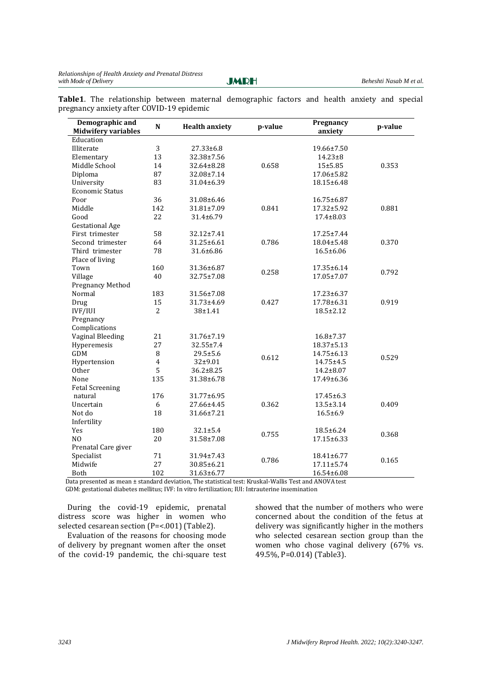**Table1**. The relationship between maternal demographic factors and health anxiety and special pregnancy anxiety after COVID-19 epidemic

| Demographic and<br><b>Midwifery variables</b>                                                         | $\mathbf N$    | <b>Health anxiety</b> | p-value | Pregnancy<br>anxiety | p-value |
|-------------------------------------------------------------------------------------------------------|----------------|-----------------------|---------|----------------------|---------|
| Education                                                                                             |                |                       |         |                      |         |
| Illiterate                                                                                            | 3              | $27.33 \pm 6.8$       |         | 19.66±7.50           |         |
| Elementary                                                                                            | 13             | 32.38±7.56            |         | $14.23 \pm 8$        |         |
| Middle School                                                                                         | 14             | 32.64±8.28            | 0.658   | $15 + 5.85$          | 0.353   |
| Diploma                                                                                               | 87             | 32.08±7.14            |         | 17.06±5.82           |         |
| University                                                                                            | 83             | 31.04±6.39            |         | 18.15±6.48           |         |
| <b>Economic Status</b>                                                                                |                |                       |         |                      |         |
| Poor                                                                                                  | 36             | 31.08±6.46            |         | 16.75±6.87           |         |
| Middle                                                                                                | 142            | 31.81±7.09            | 0.841   | 17.32±5.92           | 0.881   |
| Good                                                                                                  | 22             | 31.4±6.79             |         | $17.4 \pm 8.03$      |         |
| <b>Gestational Age</b>                                                                                |                |                       |         |                      |         |
| First trimester                                                                                       | 58             | 32.12±7.41            |         | 17.25±7.44           |         |
| Second trimester                                                                                      | 64             | 31.25±6.61            | 0.786   | 18.04±5.48           | 0.370   |
| Third trimester                                                                                       | 78             | 31.6±6.86             |         | 16.5±6.06            |         |
| Place of living                                                                                       |                |                       |         |                      |         |
| Town                                                                                                  | 160            | 31.36±6.87            |         | 17.35±6.14           |         |
|                                                                                                       | 40             |                       | 0.258   |                      | 0.792   |
| Village                                                                                               |                | 32.75±7.08            |         | 17.05±7.07           |         |
| <b>Pregnancy Method</b><br>Normal                                                                     |                |                       |         |                      |         |
|                                                                                                       | 183            | 31.56±7.08            |         | 17.23±6.37           |         |
| Drug                                                                                                  | 15             | 31.73±4.69            | 0.427   | 17.78±6.31           | 0.919   |
| IVF/IUI                                                                                               | $\overline{2}$ | 38±1.41               |         | $18.5 \pm 2.12$      |         |
| Pregnancy                                                                                             |                |                       |         |                      |         |
| Complications                                                                                         |                |                       |         |                      |         |
| Vaginal Bleeding                                                                                      | 21             | 31.76±7.19            |         | $16.8 \pm 7.37$      |         |
| Hyperemesis                                                                                           | 27             | 32.55±7.4             |         | 18.37±5.13           |         |
| GDM                                                                                                   | 8              | 29.5±5.6              | 0.612   | 14.75±6.13           | 0.529   |
| Hypertension                                                                                          | $\overline{4}$ | 32±9.01               |         | 14.75±4.5            |         |
| Other                                                                                                 | 5              | $36.2 \pm 8.25$       |         | $14.2 \pm 8.07$      |         |
| None                                                                                                  | 135            | 31.38±6.78            |         | 17.49±6.36           |         |
| <b>Fetal Screening</b>                                                                                |                |                       |         |                      |         |
| natural                                                                                               | 176            | 31.77±6.95            |         | 17.45±6.3            |         |
| Uncertain                                                                                             | 6              | 27.66±4.45            | 0.362   | 13.5±3.14            | 0.409   |
| Not do                                                                                                | 18             | 31.66±7.21            |         | $16.5 \pm 6.9$       |         |
| Infertility                                                                                           |                |                       |         |                      |         |
| Yes                                                                                                   | 180            | $32.1 \pm 5.4$        | 0.755   | 18.5±6.24            | 0.368   |
| N <sub>O</sub>                                                                                        | 20             | 31.58±7.08            |         | 17.15±6.33           |         |
| Prenatal Care giver                                                                                   |                |                       |         |                      |         |
| Specialist                                                                                            | 71             | 31.94±7.43            |         | 18.41±6.77           |         |
| Midwife                                                                                               | 27             | 30.85±6.21            | 0.786   | $17.11 \pm 5.74$     | 0.165   |
| Both                                                                                                  | 102            | 31.63±6.77            |         | 16.54±6.08           |         |
| Data presented as mean ± standard deviation, The statistical test: Kruskal-Wallis Test and ANOVA test |                |                       |         |                      |         |

GDM: gestational diabetes mellitus; IVF: In vitro fertilization; IUI: Intrauterine insemination

During the covid-19 epidemic, prenatal distress score was higher in women who selected cesarean section (P=<.001) (Table2).

Evaluation of the reasons for choosing mode of delivery by pregnant women after the onset of the covid-19 pandemic, the chi-square test showed that the number of mothers who were concerned about the condition of the fetus at delivery was significantly higher in the mothers who selected cesarean section group than the women who chose vaginal delivery (67% vs. 49.5%, P=0.014) (Table3).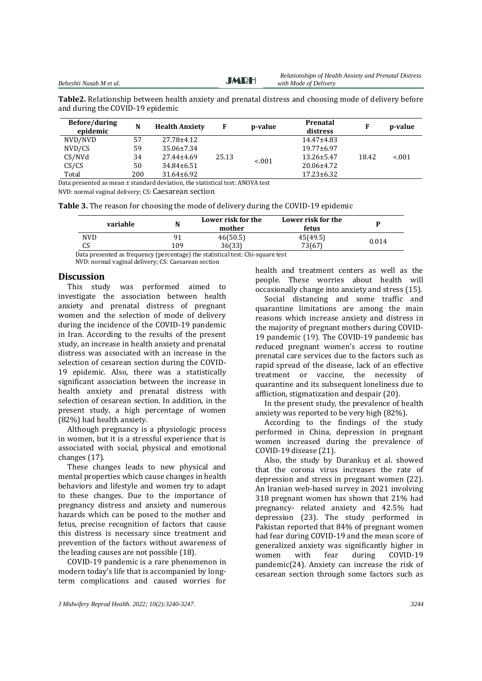**JMDH** 

**Table2.** Relationship between health anxiety and prenatal distress and choosing mode of delivery before and during the COVID-19 epidemic

| Before/during<br>epidemic                                                     | N   | <b>Health Anxiety</b> | F     | p-value | Prenatal<br>distress | F     | p-value |
|-------------------------------------------------------------------------------|-----|-----------------------|-------|---------|----------------------|-------|---------|
| NVD/NVD                                                                       | 57  | 27.78±4.12            |       |         | 14.47±4.83           |       |         |
| NVD/CS                                                                        | 59  | 35.06±7.34            |       |         | 19.77±6.97           |       |         |
| CS/NVd                                                                        | 34  | 27.44±4.69            | 25.13 | < 0.01  | 13.26±5.47           | 18.42 | < 0.01  |
| CS/CS                                                                         | 50  | 34.84±6.51            |       |         | 20.06±4.72           |       |         |
| Total                                                                         | 200 | $31.64 \pm 6.92$      |       |         | $17.23 \pm 6.32$     |       |         |
| Data presented as mean ± standard deviation, the statistical test: ANOVA test |     |                       |       |         |                      |       |         |

NVD: normal vaginal delivery; CS: [Caesarean section](https://en.wikipedia.org/wiki/Caesarean_section)

**Table 3.** The reason for choosing the mode of delivery during the COVID-19 epidemic

| NVD                           | mother<br>fetus      |       |  |
|-------------------------------|----------------------|-------|--|
|                               | 46(50.5)<br>45(49.5) | 0.014 |  |
| 73(67)<br>CS<br>36(33)<br>109 |                      |       |  |

Data presented as frequency (percentage) the statistical test: Chi-square test

NVD: normal vaginal delivery; CS[: Caesarean section](https://en.wikipedia.org/wiki/Caesarean_section)

#### **Discussion**

This study was performed aimed to investigate the association between health anxiety and prenatal distress of pregnant women and the selection of mode of delivery during the incidence of the COVID-19 pandemic in Iran. According to the results of the present study, an increase in health anxiety and prenatal distress was associated with an increase in the selection of cesarean section during the COVID-19 epidemic. Also, there was a statistically significant association between the increase in health anxiety and prenatal distress with selection of cesarean section. In addition, in the present study, a high percentage of women (82%) had health anxiety.

Although pregnancy is a physiologic process in women, but it is a stressful experience that is associated with social, physical and emotional changes (17).

These changes leads to new physical and mental properties which cause changes in health behaviors and lifestyle and women try to adapt to these changes. Due to the importance of pregnancy distress and anxiety and numerous hazards which can be posed to the mother and fetus, precise recognition of factors that cause this distress is necessary since treatment and prevention of the factors without awareness of the leading causes are not possible (18).

COVID-19 pandemic is a rare phenomenon in modern today's life that is accompanied by longterm complications and caused worries for

health and treatment centers as well as the people. These worries about health will occasionally change into anxiety and stress (15).

Social distancing and some traffic and quarantine limitations are among the main reasons which increase anxiety and distress in the majority of pregnant mothers during COVID-19 pandemic (19). The COVID-19 pandemic has reduced pregnant women's access to routine prenatal care services due to the factors such as rapid spread of the disease, lack of an effective treatment or vaccine, the necessity of quarantine and its subsequent loneliness due to affliction, stigmatization and despair (20).

In the present study, the prevalence of health anxiety was reported to be very high (82%).

According to the findings of the study performed in China, depression in pregnant women increased during the prevalence of COVID-19 disease (21).

Also, the study by Durankuş et al. showed that the corona virus increases the rate of depression and stress in pregnant women (22). An Iranian web-based survey in 2021 involving 318 pregnant women has shown that 21% had pregnancy- related anxiety and 42.5% had depression (23). The study performed in Pakistan reported that 84% of pregnant women had fear during COVID-19 and the mean score of generalized anxiety was significantly higher in women with fear during COVID-19 pandemic(24). Anxiety can increase the risk of cesarean section through some factors such as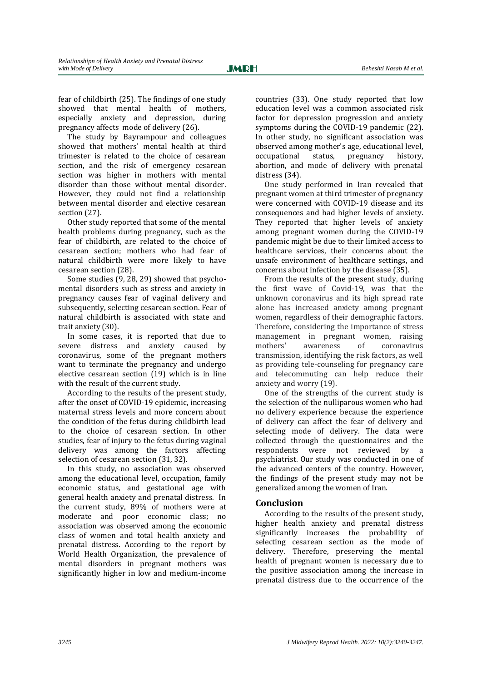fear of childbirth (25). The findings of one study showed that mental health of mothers, especially anxiety and depression, during pregnancy affects mode of delivery (26).

The study by Bayrampour and colleagues showed that mothers' mental health at third trimester is related to the choice of cesarean section, and the risk of emergency cesarean section was higher in mothers with mental disorder than those without mental disorder. However, they could not find a relationship between mental disorder and elective cesarean section (27).

Other study reported that some of the mental health problems during pregnancy, such as the fear of childbirth, are related to the choice of cesarean section; mothers who had fear of natural childbirth were more likely to have cesarean section (28).

Some studies (9, 28, 29) showed that psychomental disorders such as stress and anxiety in pregnancy causes fear of vaginal delivery and subsequently, selecting cesarean section. Fear of natural childbirth is associated with state and trait anxiety (30).

In some cases, it is reported that due to severe distress and anxiety caused by coronavirus, some of the pregnant mothers want to terminate the pregnancy and undergo elective cesarean section (19) which is in line with the result of the current study.

According to the results of the present study, after the onset of COVID-19 epidemic, increasing maternal stress levels and more concern about the condition of the fetus during childbirth lead to the choice of cesarean section. In other studies, fear of injury to the fetus during vaginal delivery was among the factors affecting selection of cesarean section (31, 32).

In this study, no association was observed among the educational level, occupation, family economic status, and gestational age with general health anxiety and prenatal distress. In the current study, 89% of mothers were at moderate and poor economic class; no association was observed among the economic class of women and total health anxiety and prenatal distress. According to the report by World Health Organization, the prevalence of mental disorders in pregnant mothers was significantly higher in low and medium-income

countries (33). One study reported that low education level was a common associated risk factor for depression progression and anxiety symptoms during the COVID-19 pandemic (22). In other study, no significant association was observed among mother's age, educational level, occupational status, pregnancy history, abortion, and mode of delivery with prenatal distress (34).

One study performed in Iran revealed that pregnant women at third trimester of pregnancy were concerned with COVID-19 disease and its consequences and had higher levels of anxiety. They reported that higher levels of anxiety among pregnant women during the COVID-19 pandemic might be due to their limited access to healthcare services, their concerns about the unsafe environment of healthcare settings, and concerns about infection by the disease (35).

From the results of the present study, during the first wave of Covid-19, was that the unknown coronavirus and its high spread rate alone has increased anxiety among pregnant women, regardless of their demographic factors. Therefore, considering the importance of stress management in pregnant women, raising mothers' awareness of coronavirus transmission, identifying the risk factors, as well as providing tele-counseling for pregnancy care and telecommuting can help reduce their anxiety and worry (19).

One of the strengths of the current study is the selection of the nulliparous women who had no delivery experience because the experience of delivery can affect the fear of delivery and selecting mode of delivery. The data were collected through the questionnaires and the respondents were not reviewed by a psychiatrist. Our study was conducted in one of the advanced centers of the country. However, the findings of the present study may not be generalized among the women of Iran.

# **Conclusion**

According to the results of the present study, higher health anxiety and prenatal distress significantly increases the probability of selecting cesarean section as the mode of delivery. Therefore, preserving the mental health of pregnant women is necessary due to the positive association among the increase in prenatal distress due to the occurrence of the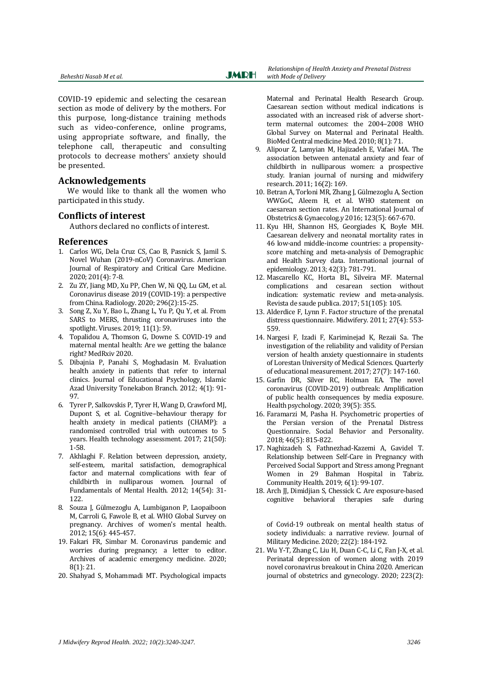COVID-19 epidemic and selecting the cesarean section as mode of delivery by the mothers. For this purpose, long-distance training methods such as video-conference, online programs, using appropriate software, and finally, the telephone call, therapeutic and consulting protocols to decrease mothers' anxiety should be presented.

# **Acknowledgements**

We would like to thank all the women who participated in this study.

# **Conflicts of interest**

Authors declared no conflicts of interest.

### **References**

- 1. Carlos WG, Dela Cruz CS, Cao B, Pasnick S, Jamil S. Novel Wuhan (2019-nCoV) Coronavirus. American Journal of Respiratory and Critical Care Medicine. 2020; 201(4): 7-8.
- 2. Zu ZY, Jiang MD, Xu PP, Chen W, Ni QQ, Lu GM, et al. Coronavirus disease 2019 (COVID-19): a perspective from China. Radiology. 2020; 296(2):15-25.
- 3. Song Z, Xu Y, Bao L, Zhang L, Yu P, Qu Y, et al. From SARS to MERS, thrusting coronaviruses into the spotlight. Viruses. 2019; 11(1): 59.
- 4. Topalidou A, Thomson G, Downe S. COVID-19 and maternal mental health: Are we getting the balance right? MedRxiv 2020.
- 5. Dibajnia P, Panahi S, Moghadasin M. Evaluation health anxiety in patients that refer to internal clinics. Journal of Educational Psychology, Islamic Azad University Tonekabon Branch. 2012; 4(1): 91- 97.
- 6. Tyrer P, Salkovskis P, Tyrer H, Wang D, Crawford MJ, Dupont S, et al. Cognitive–behaviour therapy for health anxiety in medical patients (CHAMP): a randomised controlled trial with outcomes to 5 years. Health technology assessment. 2017; 21(50): 1-58.
- 7. Akhlaghi F. Relation between depression, anxiety, self-esteem, marital satisfaction, demographical factor and maternal complications with fear of childbirth in nulliparous women. Journal of Fundamentals of Mental Health. 2012; 14(54): 31- 122.
- 8. Souza J, Gülmezoglu A, Lumbiganon P, Laopaiboon M, Carroli G, Fawole B, et al. WHO Global Survey on pregnancy. Archives of women's mental health. 2012; 15(6): 445-457.
- 19. Fakari FR, Simbar M. Coronavirus pandemic and worries during pregnancy; a letter to editor. Archives of academic emergency medicine. 2020; 8(1): 21.
- 20. Shahyad S, Mohammadi MT. Psychological impacts

 *Relationshipn of Health Anxiety and Prenatal Distress Beheshti Nasab M et al. by a manufacturery <i>Beheshti Nasab M et al. with Mode of Delivery* 

> Maternal and Perinatal Health Research Group. Caesarean section without medical indications is associated with an increased risk of adverse shortterm maternal outcomes: the 2004–2008 WHO Global Survey on Maternal and Perinatal Health. BioMed Central medicine Med. 2010; 8(1): 71.

- 9. Alipour Z, Lamyian M, Hajizadeh E, Vafaei MA. The association between antenatal anxiety and fear of childbirth in nulliparous women: a prospective study. Iranian journal of nursing and midwifery research. 2011; 16(2): 169.
- 10. Betran A, Torloni MR, Zhang J, Gülmezoglu A, Section WWGoC, Aleem H, et al. WHO statement on caesarean section rates. An International Journal of Obstetrics & Gynaecolog.y 2016; 123(5): 667-670.
- 11. Kyu HH, Shannon HS, Georgiades K, Boyle MH. Caesarean delivery and neonatal mortality rates in 46 low-and middle-income countries: a propensityscore matching and meta-analysis of Demographic and Health Survey data. International journal of epidemiology. 2013; 42(3): 781-791.
- 12. Mascarello KC, Horta BL, Silveira MF. Maternal complications and cesarean section without indication: systematic review and meta-analysis. Revista de saude publica. 2017; 51(105): 105.
- 13. Alderdice F, Lynn F. Factor structure of the prenatal distress questionnaire. Midwifery. 2011; 27(4): 553- 559.
- 14. Nargesi F, Izadi F, Kariminejad K, Rezaii Sa. The investigation of the reliability and validity of Persian version of health anxiety questionnaire in students of Lorestan University of Medical Sciences. Quarterly of educational measurement. 2017; 27(7): 147-160.
- 15. Garfin DR, Silver RC, Holman EA. The novel coronavirus (COVID-2019) outbreak: Amplification of public health consequences by media exposure. Health psychology. 2020; 39(5): 355.
- 16. Faramarzi M, Pasha H. Psychometric properties of the Persian version of the Prenatal Distress Questionnaire. Social Behavior and Personality. 2018; 46(5): 815-822.
- 17. Naghizadeh S, Fathnezhad-Kazemi A, Gavidel T. Relationship between Self-Care in Pregnancy with Perceived Social Support and Stress among Pregnant Women in 29 Bahman Hospital in Tabriz. Community Health. 2019; 6(1): 99-107.
- 18. Arch JJ, Dimidjian S, Chessick C. Are exposure-based cognitive behavioral therapies safe during

of Covid-19 outbreak on mental health status of society individuals: a narrative review. Journal of Military Medicine. 2020; 22(2): 184-192.

21. Wu Y-T, Zhang C, Liu H, Duan C-C, Li C, Fan J-X, et al. Perinatal depression of women along with 2019 novel coronavirus breakout in China 2020. American journal of obstetrics and gynecology. 2020; 223(2):